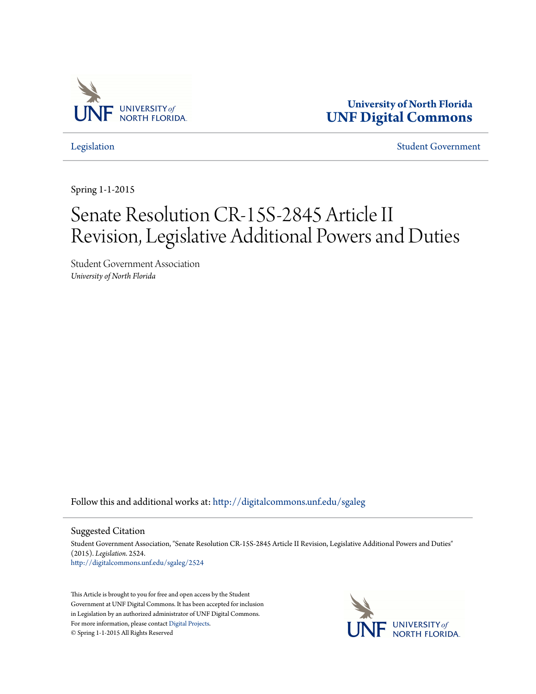

**University of North Florida [UNF Digital Commons](http://digitalcommons.unf.edu?utm_source=digitalcommons.unf.edu%2Fsgaleg%2F2524&utm_medium=PDF&utm_campaign=PDFCoverPages)**

[Legislation](http://digitalcommons.unf.edu/sgaleg?utm_source=digitalcommons.unf.edu%2Fsgaleg%2F2524&utm_medium=PDF&utm_campaign=PDFCoverPages) [Student Government](http://digitalcommons.unf.edu/sga?utm_source=digitalcommons.unf.edu%2Fsgaleg%2F2524&utm_medium=PDF&utm_campaign=PDFCoverPages)

Spring 1-1-2015

## Senate Resolution CR-15S-2845 Article II Revision, Legislative Additional Powers and Duties

Student Government Association *University of North Florida*

Follow this and additional works at: [http://digitalcommons.unf.edu/sgaleg](http://digitalcommons.unf.edu/sgaleg?utm_source=digitalcommons.unf.edu%2Fsgaleg%2F2524&utm_medium=PDF&utm_campaign=PDFCoverPages)

## Suggested Citation

Student Government Association, "Senate Resolution CR-15S-2845 Article II Revision, Legislative Additional Powers and Duties" (2015). *Legislation*. 2524. [http://digitalcommons.unf.edu/sgaleg/2524](http://digitalcommons.unf.edu/sgaleg/2524?utm_source=digitalcommons.unf.edu%2Fsgaleg%2F2524&utm_medium=PDF&utm_campaign=PDFCoverPages)

This Article is brought to you for free and open access by the Student Government at UNF Digital Commons. It has been accepted for inclusion in Legislation by an authorized administrator of UNF Digital Commons. For more information, please contact [Digital Projects](mailto:lib-digital@unf.edu). © Spring 1-1-2015 All Rights Reserved

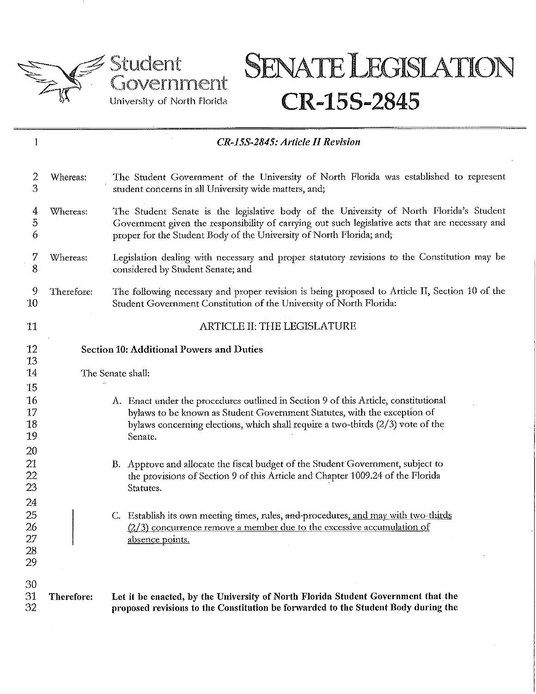





| 1                                   | CR-15S-2845: Article II Revision                |                                                                                                                                                                                                                                                                     |  |
|-------------------------------------|-------------------------------------------------|---------------------------------------------------------------------------------------------------------------------------------------------------------------------------------------------------------------------------------------------------------------------|--|
| 2<br>3                              | Whereas:                                        | The Student Government of the University of North Florida was established to represent<br>student concerns in all University wide matters, and;                                                                                                                     |  |
| 4<br>5<br>6                         | Whereas:                                        | The Student Senate is the legislative body of the University of North Florida's Student<br>Government given the responsibility of carrying out such legislative acts that are necessary and<br>proper for the Student Body of the University of North Florida; and; |  |
| 7<br>8                              | Whereas:                                        | Legislation dealing with necessary and proper statutory revisions to the Constitution may be<br>considered by Student Senate; and                                                                                                                                   |  |
| 9<br>10                             | Therefore:                                      | The following necessary and proper revision is being proposed to Article II, Section 10 of the<br>Student Government Constitution of the University of North Florida:                                                                                               |  |
| 11                                  |                                                 | ARTICLE II: THE LEGISLATURE                                                                                                                                                                                                                                         |  |
| 12<br>13                            | <b>Section 10: Additional Powers and Duties</b> |                                                                                                                                                                                                                                                                     |  |
| 14                                  |                                                 | The Senate shall:                                                                                                                                                                                                                                                   |  |
| 15<br>16<br>17<br>18<br>19          |                                                 | A. Enact under the procedures outlined in Section 9 of this Article, constitutional<br>bylaws to be known as Student Government Statutes, with the exception of<br>bylaws concerning elections, which shall require a two-thirds $(2/3)$ vote of the<br>Senate.     |  |
| 20<br>21<br>$22 \overline{)}$<br>23 |                                                 | B. Approve and allocate the fiscal budget of the Student Government, subject to<br>the provisions of Section 9 of this Article and Chapter 1009.24 of the Florida<br>Statutes.                                                                                      |  |
| 24<br>25<br>26<br>27<br>28<br>29    |                                                 | C. Establish its own meeting times, rules, and-procedures, and may with two-thirds<br>$(2/3)$ concurrence remove a member due to the excessive accumulation of<br>absence points.                                                                                   |  |
| 30<br>31<br>32                      | Therefore:                                      | Let it be enacted, by the University of North Florida Student Government that the<br>proposed revisions to the Constitution be forwarded to the Student Body during the                                                                                             |  |